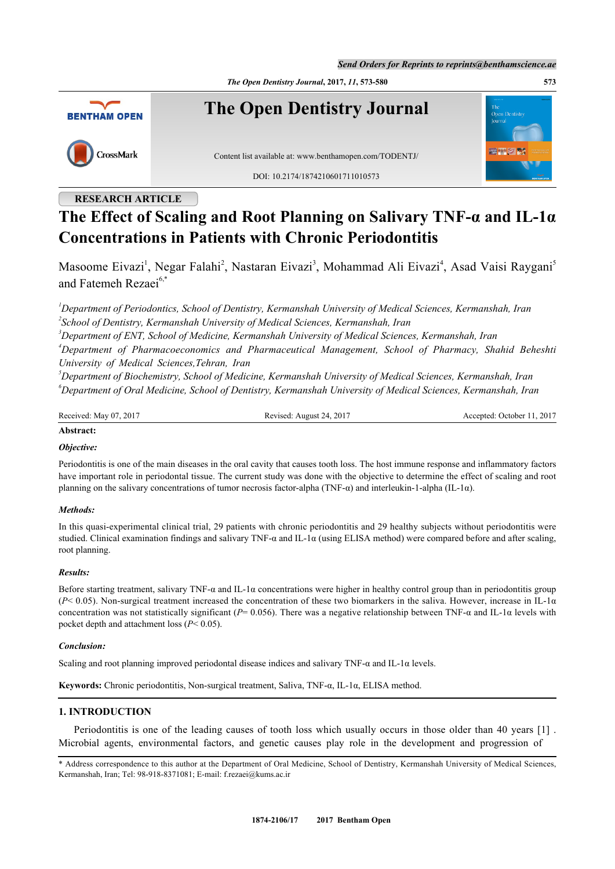*Send Orders for Reprints to reprints@benthamscience.ae*

*The Open Dentistry Journal***, 2017,** *11***, 573-580 573**



## **RESEARCH ARTICLE**

# **The Effect of Scaling and Root Planning on Salivary TNF-α and IL-1α Concentrations in Patients with Chronic Periodontitis**

Masoome Eivazi<sup>[1](#page-0-0)</sup>, Negar Falahi<sup>[2](#page-0-1)</sup>, Nastaran Eivazi<sup>[3](#page-0-2)</sup>, Mohammad Ali Eivazi<sup>[4](#page-0-3)</sup>, Asad Vaisi Raygani<sup>[5](#page-0-4)</sup> and Fatemeh Rezaei<sup>[6](#page-0-5),[\\*](#page-0-6)</sup>

<span id="page-0-1"></span><span id="page-0-0"></span>*<sup>1</sup>Department of Periodontics, School of Dentistry, Kermanshah University of Medical Sciences, Kermanshah, Iran 2 School of Dentistry, Kermanshah University of Medical Sciences, Kermanshah, Iran*

<span id="page-0-3"></span><span id="page-0-2"></span>*<sup>3</sup>Department of ENT, School of Medicine, Kermanshah University of Medical Sciences, Kermanshah, Iran <sup>4</sup>Department of Pharmacoeconomics and Pharmaceutical Management, School of Pharmacy, Shahid Beheshti University of Medical Sciences,Tehran, Iran*

<span id="page-0-5"></span><span id="page-0-4"></span>*<sup>5</sup>Department of Biochemistry, School of Medicine, Kermanshah University of Medical Sciences, Kermanshah, Iran <sup>6</sup>Department of Oral Medicine, School of Dentistry, Kermanshah University of Medical Sciences, Kermanshah, Iran*

| Received: May 07, 2017 | Revised: August 24, 2017 | Accepted: October 11, 2017 |
|------------------------|--------------------------|----------------------------|
|                        |                          |                            |

## **Abstract:**

#### *Objective:*

Periodontitis is one of the main diseases in the oral cavity that causes tooth loss. The host immune response and inflammatory factors have important role in periodontal tissue. The current study was done with the objective to determine the effect of scaling and root planning on the salivary concentrations of tumor necrosis factor-alpha (TNF-α) and interleukin-1-alpha (IL-1α).

#### *Methods:*

In this quasi-experimental clinical trial, 29 patients with chronic periodontitis and 29 healthy subjects without periodontitis were studied. Clinical examination findings and salivary TNF- $\alpha$  and IL-1 $\alpha$  (using ELISA method) were compared before and after scaling, root planning.

#### *Results:*

Before starting treatment, salivary TNF- $\alpha$  and IL-1 $\alpha$  concentrations were higher in healthy control group than in periodontitis group  $(P< 0.05)$ . Non-surgical treatment increased the concentration of these two biomarkers in the saliva. However, increase in IL-1 $\alpha$ concentration was not statistically significant (*P*= 0.056). There was a negative relationship between TNF-α and IL-1α levels with pocket depth and attachment loss (*P*< 0.05).

#### *Conclusion:*

Scaling and root planning improved periodontal disease indices and salivary TNF- $\alpha$  and IL-1 $\alpha$  levels.

**Keywords:** Chronic periodontitis, Non-surgical treatment, Saliva, TNF-α, IL-1α, ELISA method.

## **1. INTRODUCTION**

Periodontitis is one of the leading causes of tooth loss which usually occurs in those older than 40 years [[1\]](#page-5-0) . Microbial agents, environmental factors, and genetic causes play role in the development and progression of

<span id="page-0-6"></span><sup>\*</sup> Address correspondence to this author at the Department of Oral Medicine, School of Dentistry, Kermanshah University of Medical Sciences, Kermanshah, Iran; Tel: 98-918-8371081; E-mail: [f.rezaei@kums.ac.ir](mailto:f.rezaei@kums.ac.ir)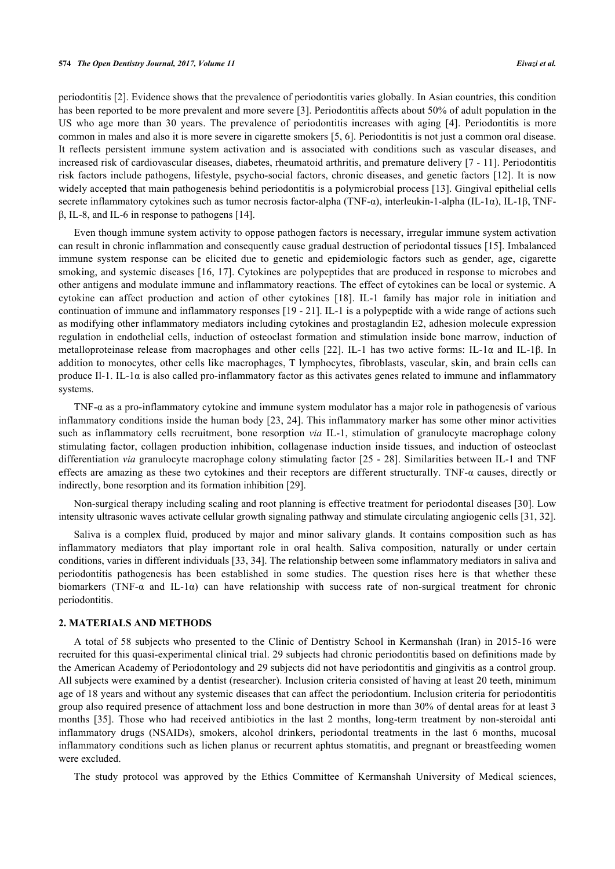periodontitis [[2\]](#page-5-1). Evidence shows that the prevalence of periodontitis varies globally. In Asian countries, this condition has been reported to be more prevalent and more severe [[3\]](#page-5-2). Periodontitis affects about 50% of adult population in the US who age more than 30 years. The prevalence of periodontitis increases with aging[[4\]](#page-5-3). Periodontitis is more common in males and also it is more severe in cigarette smokers [[5,](#page-5-4) [6\]](#page-5-5). Periodontitis is not just a common oral disease. It reflects persistent immune system activation and is associated with conditions such as vascular diseases, and increased risk of cardiovascular diseases, diabetes, rheumatoid arthritis, and premature delivery [[7](#page-5-6) - [11\]](#page-5-7). Periodontitis risk factors include pathogens, lifestyle, psycho-social factors, chronic diseases, and genetic factors [\[12](#page-5-8)]. It is now widely accepted that main pathogenesis behind periodontitis is a polymicrobial process [[13\]](#page-5-9). Gingival epithelial cells secrete inflammatory cytokines such as tumor necrosis factor-alpha (TNF-α), interleukin-1-alpha (IL-1α), IL-1β, TNFβ, IL-8, and IL-6 in response to pathogens [\[14](#page-5-10)].

Even though immune system activity to oppose pathogen factors is necessary, irregular immune system activation can result in chronic inflammation and consequently cause gradual destruction of periodontal tissues [[15\]](#page-5-11). Imbalanced immune system response can be elicited due to genetic and epidemiologic factors such as gender, age, cigarette smoking, and systemic diseases [[16](#page-5-12), [17](#page-5-13)]. Cytokines are polypeptides that are produced in response to microbes and other antigens and modulate immune and inflammatory reactions. The effect of cytokines can be local or systemic. A cytokine can affect production and action of other cytokines [\[18\]](#page-5-14). IL-1 family has major role in initiation and continuation of immune and inflammatory responses [\[19](#page-5-15) - [21](#page-6-0)]. IL-1 is a polypeptide with a wide range of actions such as modifying other inflammatory mediators including cytokines and prostaglandin E2, adhesion molecule expression regulation in endothelial cells, induction of osteoclast formation and stimulation inside bone marrow, induction of metalloproteinase release from macrophages and other cells[[22\]](#page-6-1). IL-1 has two active forms: IL-1α and IL-1β. In addition to monocytes, other cells like macrophages, T lymphocytes, fibroblasts, vascular, skin, and brain cells can produce Il-1. IL-1 $\alpha$  is also called pro-inflammatory factor as this activates genes related to immune and inflammatory systems.

TNF-α as a pro-inflammatory cytokine and immune system modulator has a major role in pathogenesis of various inflammatory conditions inside the human body [[23](#page-6-2), [24\]](#page-6-3). This inflammatory marker has some other minor activities such as inflammatory cells recruitment, bone resorption *via* IL-1, stimulation of granulocyte macrophage colony stimulating factor, collagen production inhibition, collagenase induction inside tissues, and induction of osteoclast differentiation *via* granulocyte macrophage colony stimulating factor [\[25](#page-6-4) - [28](#page-6-5)]. Similarities between IL-1 and TNF effects are amazing as these two cytokines and their receptors are different structurally. TNF-α causes, directly or indirectly, bone resorption and its formation inhibition [[29\]](#page-6-6).

Non-surgical therapy including scaling and root planning is effective treatment for periodontal diseases [\[30](#page-6-7)]. Low intensity ultrasonic waves activate cellular growth signaling pathway and stimulate circulating angiogenic cells [\[31](#page-6-8), [32](#page-6-9)].

Saliva is a complex fluid, produced by major and minor salivary glands. It contains composition such as has inflammatory mediators that play important role in oral health. Saliva composition, naturally or under certain conditions, varies in different individuals [[33,](#page-6-10) [34\]](#page-6-11). The relationship between some inflammatory mediators in saliva and periodontitis pathogenesis has been established in some studies. The question rises here is that whether these biomarkers (TNF- $\alpha$  and IL-1 $\alpha$ ) can have relationship with success rate of non-surgical treatment for chronic periodontitis.

#### **2. MATERIALS AND METHODS**

A total of 58 subjects who presented to the Clinic of Dentistry School in Kermanshah (Iran) in 2015-16 were recruited for this quasi-experimental clinical trial. 29 subjects had chronic periodontitis based on definitions made by the American Academy of Periodontology and 29 subjects did not have periodontitis and gingivitis as a control group. All subjects were examined by a dentist (researcher). Inclusion criteria consisted of having at least 20 teeth, minimum age of 18 years and without any systemic diseases that can affect the periodontium. Inclusion criteria for periodontitis group also required presence of attachment loss and bone destruction in more than 30% of dental areas for at least 3 months [\[35\]](#page-6-12). Those who had received antibiotics in the last 2 months, long-term treatment by non-steroidal anti inflammatory drugs (NSAIDs), smokers, alcohol drinkers, periodontal treatments in the last 6 months, mucosal inflammatory conditions such as lichen planus or recurrent aphtus stomatitis, and pregnant or breastfeeding women were excluded.

The study protocol was approved by the Ethics Committee of Kermanshah University of Medical sciences,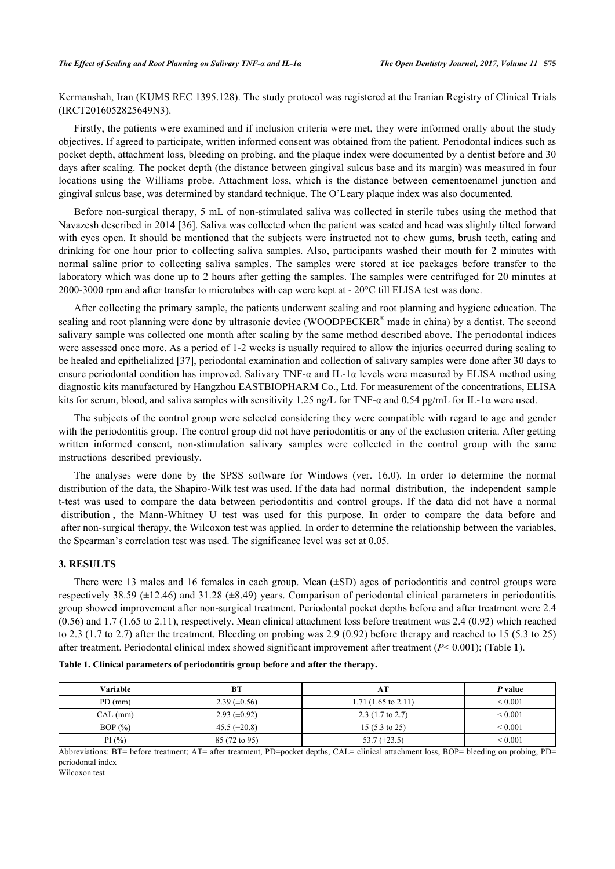Kermanshah, Iran (KUMS REC 1395.128). The study protocol was registered at the Iranian Registry of Clinical Trials (IRCT2016052825649N3).

Firstly, the patients were examined and if inclusion criteria were met, they were informed orally about the study objectives. If agreed to participate, written informed consent was obtained from the patient. Periodontal indices such as pocket depth, attachment loss, bleeding on probing, and the plaque index were documented by a dentist before and 30 days after scaling. The pocket depth (the distance between gingival sulcus base and its margin) was measured in four locations using the Williams probe. Attachment loss, which is the distance between cementoenamel junction and gingival sulcus base, was determined by standard technique. The O'Leary plaque index was also documented.

Before non-surgical therapy, 5 mL of non-stimulated saliva was collected in sterile tubes using the method that Navazesh described in 2014 [[36\]](#page-6-13). Saliva was collected when the patient was seated and head was slightly tilted forward with eyes open. It should be mentioned that the subjects were instructed not to chew gums, brush teeth, eating and drinking for one hour prior to collecting saliva samples. Also, participants washed their mouth for 2 minutes with normal saline prior to collecting saliva samples. The samples were stored at ice packages before transfer to the laboratory which was done up to 2 hours after getting the samples. The samples were centrifuged for 20 minutes at 2000-3000 rpm and after transfer to microtubes with cap were kept at - 20°C till ELISA test was done.

After collecting the primary sample, the patients underwent scaling and root planning and hygiene education. The scaling and root planning were done by ultrasonic device (WOODPECKER<sup>®</sup> made in china) by a dentist. The second salivary sample was collected one month after scaling by the same method described above. The periodontal indices were assessed once more. As a period of 1-2 weeks is usually required to allow the injuries occurred during scaling to be healed and epithelialized [\[37](#page-6-14)], periodontal examination and collection of salivary samples were done after 30 days to ensure periodontal condition has improved. Salivary TNF-α and IL-1α levels were measured by ELISA method using diagnostic kits manufactured by Hangzhou EASTBIOPHARM Co., Ltd. For measurement of the concentrations, ELISA kits for serum, blood, and saliva samples with sensitivity 1.25 ng/L for TNF-α and 0.54 pg/mL for IL-1α were used.

The subjects of the control group were selected considering they were compatible with regard to age and gender with the periodontitis group. The control group did not have periodontitis or any of the exclusion criteria. After getting written informed consent, non-stimulation salivary samples were collected in the control group with the same instructions described previously.

The analyses were done by the SPSS software for Windows (ver. 16.0). In order to determine the normal distribution of the data, the Shapiro-Wilk test was used. If the data had normal distribution, the independent sample t-test was used to compare the data between periodontitis and control groups. If the data did not have a normal distribution , the Mann-Whitney U test was used for this purpose. In order to compare the data before and after non-surgical therapy, the Wilcoxon test was applied. In order to determine the relationship between the variables, the Spearman's correlation test was used. The significance level was set at 0.05.

#### **3. RESULTS**

There were 13 males and 16 females in each group. Mean  $(\pm SD)$  ages of periodontitis and control groups were respectively 38.59 (±12.46) and 31.28 (±8.49) years. Comparison of periodontal clinical parameters in periodontitis group showed improvement after non-surgical treatment. Periodontal pocket depths before and after treatment were 2.4 (0.56) and 1.7 (1.65 to 2.11), respectively. Mean clinical attachment loss before treatment was 2.4 (0.92) which reached to 2.3 (1.7 to 2.7) after the treatment. Bleeding on probing was 2.9 (0.92) before therapy and reached to 15 (5.3 to 25) after treatment. Periodontal clinical index showed significant improvement after treatment (*P*< 0.001); (Table **[1](#page-2-0)**).

| <b>Variable</b> | BT                  | $\sim$                        | P value      |
|-----------------|---------------------|-------------------------------|--------------|
| $PD$ (mm)       | $2.39 \ (\pm 0.56)$ | $1.71(1.65 \text{ to } 2.11)$ | ${}_{0.001}$ |
| CAL (mm)        | $2.93 \ (\pm 0.92)$ | $2.3(1.7 \text{ to } 2.7)$    | ${}_{0.001}$ |
| BOP $(\%)$      | $45.5 (\pm 20.8)$   | 15 $(5.3 \text{ to } 25)$     | ${}_{0.001}$ |
| PI $(\% )$      | 85 (72 to 95)       | 53.7 $(\pm 23.5)$             | ${}_{0.001}$ |

<span id="page-2-0"></span>

|  |  |  | Table 1. Clinical parameters of periodontitis group before and after the therapy. |  |  |  |  |
|--|--|--|-----------------------------------------------------------------------------------|--|--|--|--|
|--|--|--|-----------------------------------------------------------------------------------|--|--|--|--|

Abbreviations: BT= before treatment; AT= after treatment, PD=pocket depths, CAL= clinical attachment loss, BOP= bleeding on probing, PD= periodontal index

Wilcoxon test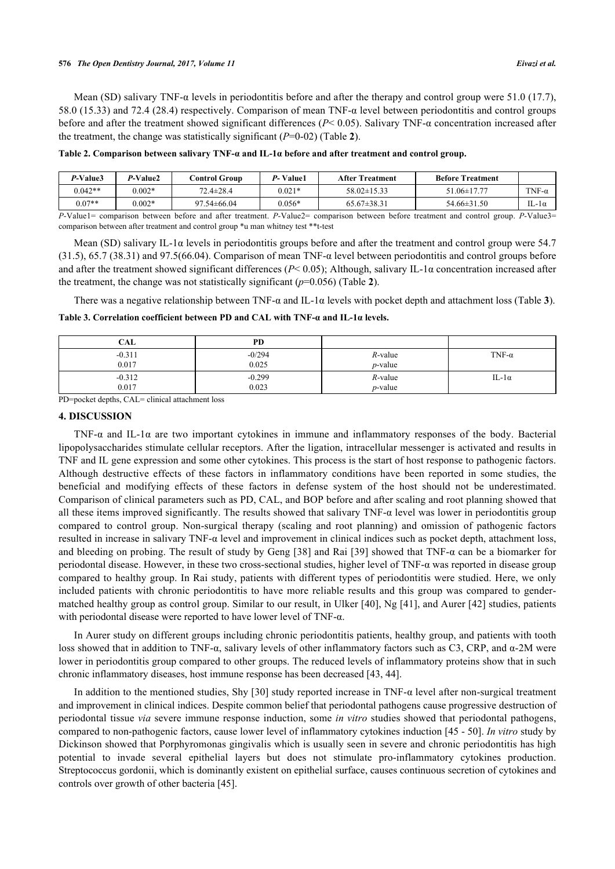#### **576** *The Open Dentistry Journal, 2017, Volume 11 Eivazi et al.*

Mean (SD) salivary TNF-α levels in periodontitis before and after the therapy and control group were 51.0 (17.7), 58.0 (15.33) and 72.4 (28.4) respectively. Comparison of mean TNF-α level between periodontitis and control groups before and after the treatment showed significant differences (*P*< 0.05). Salivary TNF-α concentration increased after the treatment, the change was statistically significant (*P*=0-02) (Table **[2](#page-3-0)**).

<span id="page-3-0"></span>**Table 2. Comparison between salivary TNF-α and IL-1α before and after treatment and control group.**

| P-Value3                                                                                                                                                              | P-Value2 | Control Group    | P-Value1 | After Treatment | <b>Before Treatment</b> |              |
|-----------------------------------------------------------------------------------------------------------------------------------------------------------------------|----------|------------------|----------|-----------------|-------------------------|--------------|
| $0.042**$                                                                                                                                                             | $0.002*$ | $72.4 \pm 28.4$  | $0.021*$ | $58.02\pm15.33$ | $51.06\pm17.77$         | $TNF-\alpha$ |
| $0.07**$                                                                                                                                                              | $0.002*$ | $97.54\pm 66.04$ | $0.056*$ | $65.67\pm38.31$ | $54.66\pm31.50$         | 10 - آ       |
| $P_V q _{\text{L}}=0$ comparison between before and after treatment $P_V q _{\text{L}}=0$ comparison between before treatment and control group $P_V q _{\text{L}}=0$ |          |                  |          |                 |                         |              |

comparison between before treatment and control group. *P*-Value3 comparison between after treatment and control group \*u man whitney test \*\*t-test

Mean (SD) salivary IL-1 $\alpha$  levels in periodontitis groups before and after the treatment and control group were 54.7 (31.5), 65.7 (38.31) and 97.5(66.04). Comparison of mean TNF-α level between periodontitis and control groups before and after the treatment showed significant differences (*P*< 0.05); Although, salivary IL-1α concentration increased after the treatment, the change was not statistically significant  $(p=0.056)$  (Table **[2](#page-3-0)**).

There was a negative relationship between TNF-α and IL-1α levels with pocket depth and attachment loss (Table **[3](#page-3-1)**).

<span id="page-3-1"></span>**Table 3. Correlation coefficient between PD and CAL with TNF-α and IL-1α levels.**

| <b>CAL</b> | PD       |            |               |
|------------|----------|------------|---------------|
| $-0.311$   | $-0/294$ | $R$ -value | TNF- $\alpha$ |
| 0.017      | 0.025    | $p$ -value |               |
| $-0.312$   | $-0.299$ | $R$ -value | IL-1 $\alpha$ |
| 0.017      | 0.023    | $p$ -value |               |

PD=pocket depths, CAL= clinical attachment loss

### **4. DISCUSSION**

TNF-α and IL-1α are two important cytokines in immune and inflammatory responses of the body. Bacterial lipopolysaccharides stimulate cellular receptors. After the ligation, intracellular messenger is activated and results in TNF and IL gene expression and some other cytokines. This process is the start of host response to pathogenic factors. Although destructive effects of these factors in inflammatory conditions have been reported in some studies, the beneficial and modifying effects of these factors in defense system of the host should not be underestimated. Comparison of clinical parameters such as PD, CAL, and BOP before and after scaling and root planning showed that all these items improved significantly. The results showed that salivary TNF- $\alpha$  level was lower in periodontitis group compared to control group. Non-surgical therapy (scaling and root planning) and omission of pathogenic factors resulted in increase in salivary TNF-α level and improvement in clinical indices such as pocket depth, attachment loss, and bleeding on probing. The result of study by Geng [[38\]](#page-6-15) and Rai [\[39](#page-6-16)] showed that TNF-α can be a biomarker for periodontal disease. However, in these two cross-sectional studies, higher level of TNF-α was reported in disease group compared to healthy group. In Rai study, patients with different types of periodontitis were studied. Here, we only included patients with chronic periodontitis to have more reliable results and this group was compared to gendermatched healthy group as control group. Similar to our result, in Ulker [[40](#page-6-17)], Ng [[41\]](#page-6-18), and Aurer [[42](#page-7-0)] studies, patients with periodontal disease were reported to have lower level of TNF-α.

In Aurer study on different groups including chronic periodontitis patients, healthy group, and patients with tooth loss showed that in addition to TNF- $\alpha$ , salivary levels of other inflammatory factors such as C3, CRP, and  $\alpha$ -2M were lower in periodontitis group compared to other groups. The reduced levels of inflammatory proteins show that in such chronic inflammatory diseases, host immune response has been decreased [\[43](#page-7-1), [44](#page-7-2)].

In addition to the mentioned studies, Shy [[30\]](#page-6-7) study reported increase in TNF-α level after non-surgical treatment and improvement in clinical indices. Despite common belief that periodontal pathogens cause progressive destruction of periodontal tissue *via* severe immune response induction, some *in vitro* studies showed that periodontal pathogens, compared to non-pathogenic factors, cause lower level of inflammatory cytokines induction [\[45](#page-7-3) - [50\]](#page-7-4). *In vitro* study by Dickinson showed that Porphyromonas gingivalis which is usually seen in severe and chronic periodontitis has high potential to invade several epithelial layers but does not stimulate pro-inflammatory cytokines production. Streptococcus gordonii, which is dominantly existent on epithelial surface, causes continuous secretion of cytokines and controls over growth of other bacteria [[45\]](#page-7-3).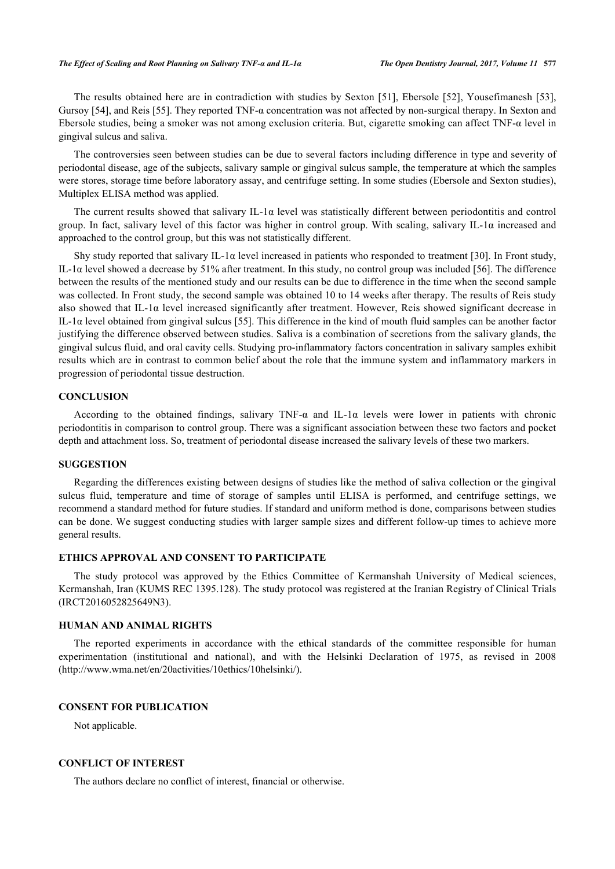The results obtained here are in contradiction with studies by Sexton [[51\]](#page-7-5), Ebersole [\[52](#page-7-6)], Yousefimanesh [\[53\]](#page-7-7), Gursoy [[54\]](#page-7-8), and Reis [[55\]](#page-7-9). They reported TNF- $\alpha$  concentration was not affected by non-surgical therapy. In Sexton and Ebersole studies, being a smoker was not among exclusion criteria. But, cigarette smoking can affect TNF-α level in gingival sulcus and saliva.

The controversies seen between studies can be due to several factors including difference in type and severity of periodontal disease, age of the subjects, salivary sample or gingival sulcus sample, the temperature at which the samples were stores, storage time before laboratory assay, and centrifuge setting. In some studies (Ebersole and Sexton studies), Multiplex ELISA method was applied.

The current results showed that salivary IL-1 $\alpha$  level was statistically different between periodontitis and control group. In fact, salivary level of this factor was higher in control group. With scaling, salivary IL-1α increased and approached to the control group, but this was not statistically different.

Shy study reported that salivary IL-1 $\alpha$  level increased in patients who responded to treatment [\[30](#page-6-7)]. In Front study, IL-1α level showed a decrease by 51% after treatment. In this study, no control group was included [\[56](#page-7-10)]. The difference between the results of the mentioned study and our results can be due to difference in the time when the second sample was collected. In Front study, the second sample was obtained 10 to 14 weeks after therapy. The results of Reis study also showed that IL-1 $\alpha$  level increased significantly after treatment. However, Reis showed significant decrease in IL-1α level obtained from gingival sulcus [\[55](#page-7-9)]. This difference in the kind of mouth fluid samples can be another factor justifying the difference observed between studies. Saliva is a combination of secretions from the salivary glands, the gingival sulcus fluid, and oral cavity cells. Studying pro-inflammatory factors concentration in salivary samples exhibit results which are in contrast to common belief about the role that the immune system and inflammatory markers in progression of periodontal tissue destruction.

#### **CONCLUSION**

According to the obtained findings, salivary TNF-α and IL-1α levels were lower in patients with chronic periodontitis in comparison to control group. There was a significant association between these two factors and pocket depth and attachment loss. So, treatment of periodontal disease increased the salivary levels of these two markers.

#### **SUGGESTION**

Regarding the differences existing between designs of studies like the method of saliva collection or the gingival sulcus fluid, temperature and time of storage of samples until ELISA is performed, and centrifuge settings, we recommend a standard method for future studies. If standard and uniform method is done, comparisons between studies can be done. We suggest conducting studies with larger sample sizes and different follow-up times to achieve more general results.

## **ETHICS APPROVAL AND CONSENT TO PARTICIPATE**

The study protocol was approved by the Ethics Committee of Kermanshah University of Medical sciences, Kermanshah, Iran (KUMS REC 1395.128). The study protocol was registered at the Iranian Registry of Clinical Trials (IRCT2016052825649N3).

#### **HUMAN AND ANIMAL RIGHTS**

The reported experiments in accordance with the ethical standards of the committee responsible for human experimentation (institutional and national), and with the Helsinki Declaration of 1975, as revised in 2008 (http://www.wma.net/en/20activities/10ethics/10helsinki/).

#### **CONSENT FOR PUBLICATION**

Not applicable.

## **CONFLICT OF INTEREST**

The authors declare no conflict of interest, financial or otherwise.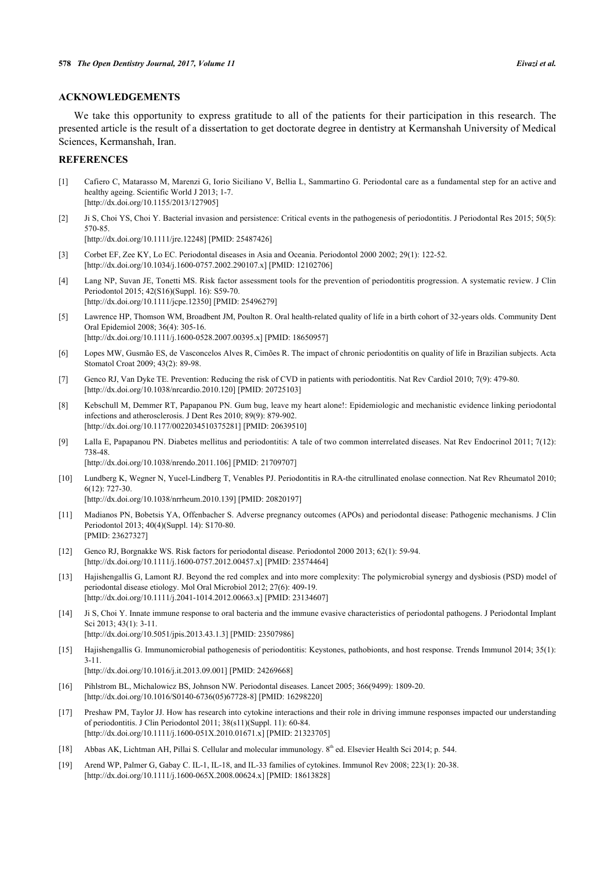#### **ACKNOWLEDGEMENTS**

We take this opportunity to express gratitude to all of the patients for their participation in this research. The presented article is the result of a dissertation to get doctorate degree in dentistry at Kermanshah University of Medical Sciences, Kermanshah, Iran.

## **REFERENCES**

- <span id="page-5-0"></span>[1] Cafiero C, Matarasso M, Marenzi G, Iorio Siciliano V, Bellia L, Sammartino G. Periodontal care as a fundamental step for an active and healthy ageing. Scientific World J 2013; 1-7. [\[http://dx.doi.org/10.1155/2013/127905](http://dx.doi.org/10.1155/2013/127905)]
- <span id="page-5-1"></span>[2] Ji S, Choi YS, Choi Y. Bacterial invasion and persistence: Critical events in the pathogenesis of periodontitis. J Periodontal Res 2015; 50(5): 570-85.

[\[http://dx.doi.org/10.1111/jre.12248](http://dx.doi.org/10.1111/jre.12248)] [PMID: [25487426\]](http://www.ncbi.nlm.nih.gov/pubmed/25487426)

- <span id="page-5-2"></span>[3] Corbet EF, Zee KY, Lo EC. Periodontal diseases in Asia and Oceania. Periodontol 2000 2002; 29(1): 122-52. [\[http://dx.doi.org/10.1034/j.1600-0757.2002.290107.x\]](http://dx.doi.org/10.1034/j.1600-0757.2002.290107.x) [PMID: [12102706](http://www.ncbi.nlm.nih.gov/pubmed/12102706)]
- <span id="page-5-3"></span>[4] Lang NP, Suvan JE, Tonetti MS. Risk factor assessment tools for the prevention of periodontitis progression. A systematic review. J Clin Periodontol 2015; 42(S16)(Suppl. 16): S59-70. [\[http://dx.doi.org/10.1111/jcpe.12350](http://dx.doi.org/10.1111/jcpe.12350)] [PMID: [25496279\]](http://www.ncbi.nlm.nih.gov/pubmed/25496279)
- <span id="page-5-4"></span>[5] Lawrence HP, Thomson WM, Broadbent JM, Poulton R. Oral health-related quality of life in a birth cohort of 32-years olds. Community Dent Oral Epidemiol 2008; 36(4): 305-16. [\[http://dx.doi.org/10.1111/j.1600-0528.2007.00395.x\]](http://dx.doi.org/10.1111/j.1600-0528.2007.00395.x) [PMID: [18650957](http://www.ncbi.nlm.nih.gov/pubmed/18650957)]
- <span id="page-5-5"></span>[6] Lopes MW, Gusmão ES, de Vasconcelos Alves R, Cimões R. The impact of chronic periodontitis on quality of life in Brazilian subjects. Acta Stomatol Croat 2009; 43(2): 89-98.
- <span id="page-5-6"></span>[7] Genco RJ, Van Dyke TE. Prevention: Reducing the risk of CVD in patients with periodontitis. Nat Rev Cardiol 2010; 7(9): 479-80. [\[http://dx.doi.org/10.1038/nrcardio.2010.120](http://dx.doi.org/10.1038/nrcardio.2010.120)] [PMID: [20725103](http://www.ncbi.nlm.nih.gov/pubmed/20725103)]
- [8] Kebschull M, Demmer RT, Papapanou PN. Gum bug, leave my heart alone!: Epidemiologic and mechanistic evidence linking periodontal infections and atherosclerosis. J Dent Res 2010; 89(9): 879-902. [\[http://dx.doi.org/10.1177/0022034510375281\]](http://dx.doi.org/10.1177/0022034510375281) [PMID: [20639510](http://www.ncbi.nlm.nih.gov/pubmed/20639510)]
- [9] Lalla E, Papapanou PN. Diabetes mellitus and periodontitis: A tale of two common interrelated diseases. Nat Rev Endocrinol 2011; 7(12): 738-48.

[\[http://dx.doi.org/10.1038/nrendo.2011.106](http://dx.doi.org/10.1038/nrendo.2011.106)] [PMID: [21709707\]](http://www.ncbi.nlm.nih.gov/pubmed/21709707)

- [10] Lundberg K, Wegner N, Yucel-Lindberg T, Venables PJ. Periodontitis in RA-the citrullinated enolase connection. Nat Rev Rheumatol 2010; 6(12): 727-30. [\[http://dx.doi.org/10.1038/nrrheum.2010.139\]](http://dx.doi.org/10.1038/nrrheum.2010.139) [PMID: [20820197](http://www.ncbi.nlm.nih.gov/pubmed/20820197)]
	-
- <span id="page-5-7"></span>[11] Madianos PN, Bobetsis YA, Offenbacher S. Adverse pregnancy outcomes (APOs) and periodontal disease: Pathogenic mechanisms. J Clin Periodontol 2013; 40(4)(Suppl. 14): S170-80. [PMID: [23627327\]](http://www.ncbi.nlm.nih.gov/pubmed/23627327)
- <span id="page-5-8"></span>[12] Genco RJ, Borgnakke WS. Risk factors for periodontal disease. Periodontol 2000 2013; 62(1): 59-94. [\[http://dx.doi.org/10.1111/j.1600-0757.2012.00457.x\]](http://dx.doi.org/10.1111/j.1600-0757.2012.00457.x) [PMID: [23574464](http://www.ncbi.nlm.nih.gov/pubmed/23574464)]
- <span id="page-5-9"></span>[13] Hajishengallis G, Lamont RJ. Beyond the red complex and into more complexity: The polymicrobial synergy and dysbiosis (PSD) model of periodontal disease etiology. Mol Oral Microbiol 2012; 27(6): 409-19. [\[http://dx.doi.org/10.1111/j.2041-1014.2012.00663.x\]](http://dx.doi.org/10.1111/j.2041-1014.2012.00663.x) [PMID: [23134607](http://www.ncbi.nlm.nih.gov/pubmed/23134607)]
- <span id="page-5-10"></span>[14] Ji S, Choi Y. Innate immune response to oral bacteria and the immune evasive characteristics of periodontal pathogens. J Periodontal Implant Sci 2013; 43(1): 3-11.
- [\[http://dx.doi.org/10.5051/jpis.2013.43.1.3](http://dx.doi.org/10.5051/jpis.2013.43.1.3)] [PMID: [23507986\]](http://www.ncbi.nlm.nih.gov/pubmed/23507986)
- <span id="page-5-11"></span>[15] Hajishengallis G. Immunomicrobial pathogenesis of periodontitis: Keystones, pathobionts, and host response. Trends Immunol 2014; 35(1): 3-11.

[\[http://dx.doi.org/10.1016/j.it.2013.09.001](http://dx.doi.org/10.1016/j.it.2013.09.001)] [PMID: [24269668](http://www.ncbi.nlm.nih.gov/pubmed/24269668)]

- <span id="page-5-12"></span>[16] Pihlstrom BL, Michalowicz BS, Johnson NW. Periodontal diseases. Lancet 2005; 366(9499): 1809-20. [\[http://dx.doi.org/10.1016/S0140-6736\(05\)67728-8\]](http://dx.doi.org/10.1016/S0140-6736(05)67728-8) [PMID: [16298220](http://www.ncbi.nlm.nih.gov/pubmed/16298220)]
- <span id="page-5-13"></span>[17] Preshaw PM, Taylor JJ. How has research into cytokine interactions and their role in driving immune responses impacted our understanding of periodontitis. J Clin Periodontol 2011; 38(s11)(Suppl. 11): 60-84. [\[http://dx.doi.org/10.1111/j.1600-051X.2010.01671.x](http://dx.doi.org/10.1111/j.1600-051X.2010.01671.x)] [PMID: [21323705](http://www.ncbi.nlm.nih.gov/pubmed/21323705)]
- <span id="page-5-14"></span>[18] Abbas AK, Lichtman AH, Pillai S. Cellular and molecular immunology. 8<sup>th</sup> ed. Elsevier Health Sci 2014; p. 544.
- <span id="page-5-15"></span>[19] Arend WP, Palmer G, Gabay C. IL-1, IL-18, and IL-33 families of cytokines. Immunol Rev 2008; 223(1): 20-38. [\[http://dx.doi.org/10.1111/j.1600-065X.2008.00624.x](http://dx.doi.org/10.1111/j.1600-065X.2008.00624.x)] [PMID: [18613828](http://www.ncbi.nlm.nih.gov/pubmed/18613828)]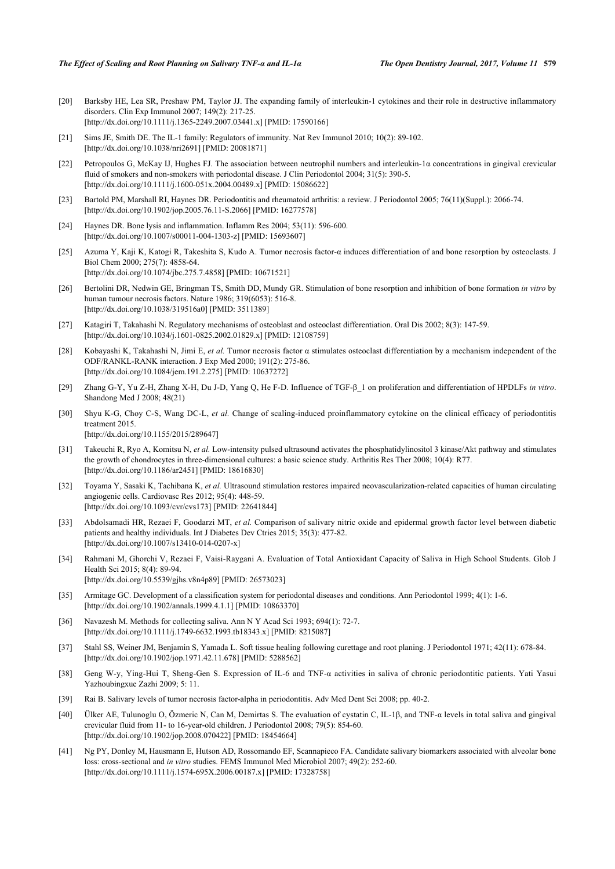- [20] Barksby HE, Lea SR, Preshaw PM, Taylor JJ. The expanding family of interleukin-1 cytokines and their role in destructive inflammatory disorders. Clin Exp Immunol 2007; 149(2): 217-25. [\[http://dx.doi.org/10.1111/j.1365-2249.2007.03441.x\]](http://dx.doi.org/10.1111/j.1365-2249.2007.03441.x) [PMID: [17590166](http://www.ncbi.nlm.nih.gov/pubmed/17590166)]
- <span id="page-6-0"></span>[21] Sims JE, Smith DE. The IL-1 family: Regulators of immunity. Nat Rev Immunol 2010; 10(2): 89-102. [\[http://dx.doi.org/10.1038/nri2691\]](http://dx.doi.org/10.1038/nri2691) [PMID: [20081871](http://www.ncbi.nlm.nih.gov/pubmed/20081871)]
- <span id="page-6-1"></span>[22] Petropoulos G, McKay IJ, Hughes FJ. The association between neutrophil numbers and interleukin-1α concentrations in gingival crevicular fluid of smokers and non-smokers with periodontal disease. J Clin Periodontol 2004; 31(5): 390-5. [\[http://dx.doi.org/10.1111/j.1600-051x.2004.00489.x\]](http://dx.doi.org/10.1111/j.1600-051x.2004.00489.x) [PMID: [15086622](http://www.ncbi.nlm.nih.gov/pubmed/15086622)]
- <span id="page-6-2"></span>[23] Bartold PM, Marshall RI, Haynes DR. Periodontitis and rheumatoid arthritis: a review. J Periodontol 2005; 76(11)(Suppl.): 2066-74. [\[http://dx.doi.org/10.1902/jop.2005.76.11-S.2066](http://dx.doi.org/10.1902/jop.2005.76.11-S.2066)] [PMID: [16277578\]](http://www.ncbi.nlm.nih.gov/pubmed/16277578)
- <span id="page-6-3"></span>[24] Haynes DR. Bone lysis and inflammation. Inflamm Res 2004; 53(11): 596-600. [\[http://dx.doi.org/10.1007/s00011-004-1303-z](http://dx.doi.org/10.1007/s00011-004-1303-z)] [PMID: [15693607](http://www.ncbi.nlm.nih.gov/pubmed/15693607)]
- <span id="page-6-4"></span>[25] Azuma Y, Kaji K, Katogi R, Takeshita S, Kudo A. Tumor necrosis factor-α induces differentiation of and bone resorption by osteoclasts. J Biol Chem 2000; 275(7): 4858-64. [\[http://dx.doi.org/10.1074/jbc.275.7.4858\]](http://dx.doi.org/10.1074/jbc.275.7.4858) [PMID: [10671521](http://www.ncbi.nlm.nih.gov/pubmed/10671521)]
- [26] Bertolini DR, Nedwin GE, Bringman TS, Smith DD, Mundy GR. Stimulation of bone resorption and inhibition of bone formation *in vitro* by human tumour necrosis factors. Nature 1986; 319(6053): 516-8. [\[http://dx.doi.org/10.1038/319516a0](http://dx.doi.org/10.1038/319516a0)] [PMID: [3511389\]](http://www.ncbi.nlm.nih.gov/pubmed/3511389)
- [27] Katagiri T, Takahashi N. Regulatory mechanisms of osteoblast and osteoclast differentiation. Oral Dis 2002; 8(3): 147-59. [\[http://dx.doi.org/10.1034/j.1601-0825.2002.01829.x\]](http://dx.doi.org/10.1034/j.1601-0825.2002.01829.x) [PMID: [12108759](http://www.ncbi.nlm.nih.gov/pubmed/12108759)]
- <span id="page-6-5"></span>[28] Kobayashi K, Takahashi N, Jimi E, *et al.* Tumor necrosis factor α stimulates osteoclast differentiation by a mechanism independent of the ODF/RANKL-RANK interaction. J Exp Med 2000; 191(2): 275-86. [\[http://dx.doi.org/10.1084/jem.191.2.275\]](http://dx.doi.org/10.1084/jem.191.2.275) [PMID: [10637272](http://www.ncbi.nlm.nih.gov/pubmed/10637272)]
- <span id="page-6-6"></span>[29] Zhang G-Y, Yu Z-H, Zhang X-H, Du J-D, Yang Q, He F-D. Influence of TGF-β\_1 on proliferation and differentiation of HPDLFs *in vitro*. Shandong Med J 2008; 48(21)
- <span id="page-6-7"></span>[30] Shyu K-G, Choy C-S, Wang DC-L, *et al.* Change of scaling-induced proinflammatory cytokine on the clinical efficacy of periodontitis treatment 2015. [\[http://dx.doi.org/10.1155/2015/289647](http://dx.doi.org/10.1155/2015/289647)]
- <span id="page-6-8"></span>[31] Takeuchi R, Ryo A, Komitsu N, *et al.* Low-intensity pulsed ultrasound activates the phosphatidylinositol 3 kinase/Akt pathway and stimulates the growth of chondrocytes in three-dimensional cultures: a basic science study. Arthritis Res Ther 2008; 10(4): R77. [\[http://dx.doi.org/10.1186/ar2451](http://dx.doi.org/10.1186/ar2451)] [PMID: [18616830\]](http://www.ncbi.nlm.nih.gov/pubmed/18616830)
- <span id="page-6-9"></span>[32] Toyama Y, Sasaki K, Tachibana K, *et al.* Ultrasound stimulation restores impaired neovascularization-related capacities of human circulating angiogenic cells. Cardiovasc Res 2012; 95(4): 448-59. [\[http://dx.doi.org/10.1093/cvr/cvs173\]](http://dx.doi.org/10.1093/cvr/cvs173) [PMID: [22641844](http://www.ncbi.nlm.nih.gov/pubmed/22641844)]
- <span id="page-6-10"></span>[33] Abdolsamadi HR, Rezaei F, Goodarzi MT, *et al.* Comparison of salivary nitric oxide and epidermal growth factor level between diabetic patients and healthy individuals. Int J Diabetes Dev Ctries 2015; 35(3): 477-82. [\[http://dx.doi.org/10.1007/s13410-014-0207-x\]](http://dx.doi.org/10.1007/s13410-014-0207-x)
- <span id="page-6-11"></span>[34] Rahmani M, Ghorchi V, Rezaei F, Vaisi-Raygani A. Evaluation of Total Antioxidant Capacity of Saliva in High School Students. Glob J Health Sci 2015; 8(4): 89-94. [\[http://dx.doi.org/10.5539/gjhs.v8n4p89](http://dx.doi.org/10.5539/gjhs.v8n4p89)] [PMID: [26573023\]](http://www.ncbi.nlm.nih.gov/pubmed/26573023)
- <span id="page-6-12"></span>[35] Armitage GC. Development of a classification system for periodontal diseases and conditions. Ann Periodontol 1999; 4(1): 1-6. [\[http://dx.doi.org/10.1902/annals.1999.4.1.1](http://dx.doi.org/10.1902/annals.1999.4.1.1)] [PMID: [10863370\]](http://www.ncbi.nlm.nih.gov/pubmed/10863370)
- <span id="page-6-13"></span>[36] Navazesh M. Methods for collecting saliva. Ann N Y Acad Sci 1993; 694(1): 72-7. [\[http://dx.doi.org/10.1111/j.1749-6632.1993.tb18343.x\]](http://dx.doi.org/10.1111/j.1749-6632.1993.tb18343.x) [PMID: [8215087](http://www.ncbi.nlm.nih.gov/pubmed/8215087)]
- <span id="page-6-14"></span>[37] Stahl SS, Weiner JM, Benjamin S, Yamada L. Soft tissue healing following curettage and root planing. J Periodontol 1971; 42(11): 678-84. [\[http://dx.doi.org/10.1902/jop.1971.42.11.678](http://dx.doi.org/10.1902/jop.1971.42.11.678)] [PMID: [5288562\]](http://www.ncbi.nlm.nih.gov/pubmed/5288562)
- <span id="page-6-15"></span>[38] Geng W-y, Ying-Hui T, Sheng-Gen S. Expression of IL-6 and TNF-α activities in saliva of chronic periodontitic patients. Yati Yasui Yazhoubingxue Zazhi 2009; 5: 11.
- <span id="page-6-16"></span>[39] Rai B. Salivary levels of tumor necrosis factor-alpha in periodontitis. Adv Med Dent Sci 2008; pp. 40-2.
- <span id="page-6-17"></span>[40] Ülker AE, Tulunoglu O, Özmeric N, Can M, Demirtas S. The evaluation of cystatin C, IL-1β, and TNF-α levels in total saliva and gingival crevicular fluid from 11- to 16-year-old children. J Periodontol 2008; 79(5): 854-60. [\[http://dx.doi.org/10.1902/jop.2008.070422](http://dx.doi.org/10.1902/jop.2008.070422)] [PMID: [18454664\]](http://www.ncbi.nlm.nih.gov/pubmed/18454664)
- <span id="page-6-18"></span>[41] Ng PY, Donley M, Hausmann E, Hutson AD, Rossomando EF, Scannapieco FA. Candidate salivary biomarkers associated with alveolar bone loss: cross-sectional and *in vitro* studies. FEMS Immunol Med Microbiol 2007; 49(2): 252-60. [\[http://dx.doi.org/10.1111/j.1574-695X.2006.00187.x](http://dx.doi.org/10.1111/j.1574-695X.2006.00187.x)] [PMID: [17328758](http://www.ncbi.nlm.nih.gov/pubmed/17328758)]